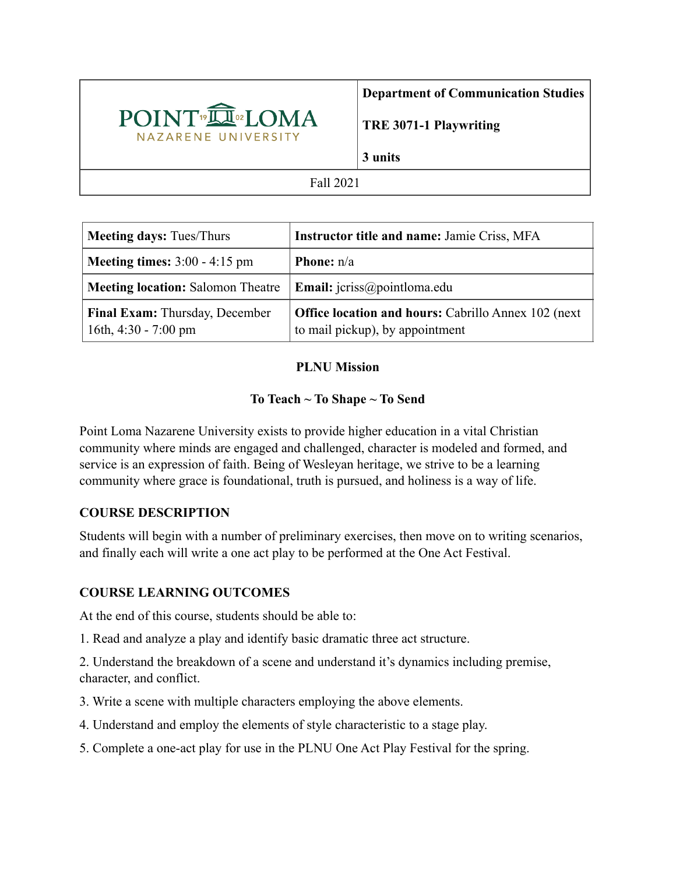

**TRE 3071-1 Playwriting**

**3 units**

### Fall 2021

| <b>Meeting days: Tues/Thurs</b>                          | <b>Instructor title and name: Jamie Criss, MFA</b>                                            |
|----------------------------------------------------------|-----------------------------------------------------------------------------------------------|
| <b>Meeting times:</b> $3:00 - 4:15$ pm                   | <b>Phone:</b> $n/a$                                                                           |
| <b>Meeting location: Salomon Theatre</b>                 | <b>Email:</b> $icriss@pointloma.edu$                                                          |
| Final Exam: Thursday, December<br>16th, $4:30 - 7:00$ pm | <b>Office location and hours: Cabrillo Annex 102 (next</b><br>to mail pickup), by appointment |

## **PLNU Mission**

# **To Teach ~ To Shape ~ To Send**

Point Loma Nazarene University exists to provide higher education in a vital Christian community where minds are engaged and challenged, character is modeled and formed, and service is an expression of faith. Being of Wesleyan heritage, we strive to be a learning community where grace is foundational, truth is pursued, and holiness is a way of life.

## **COURSE DESCRIPTION**

Students will begin with a number of preliminary exercises, then move on to writing scenarios, and finally each will write a one act play to be performed at the One Act Festival.

## **COURSE LEARNING OUTCOMES**

At the end of this course, students should be able to:

1. Read and analyze a play and identify basic dramatic three act structure.

2. Understand the breakdown of a scene and understand it's dynamics including premise, character, and conflict.

3. Write a scene with multiple characters employing the above elements.

- 4. Understand and employ the elements of style characteristic to a stage play.
- 5. Complete a one-act play for use in the PLNU One Act Play Festival for the spring.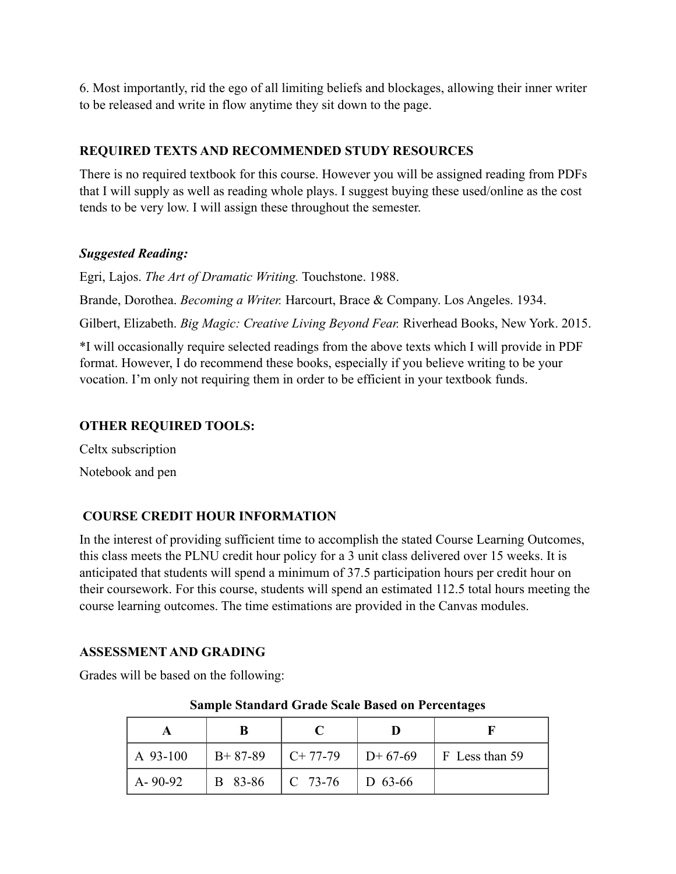6. Most importantly, rid the ego of all limiting beliefs and blockages, allowing their inner writer to be released and write in flow anytime they sit down to the page.

### **REQUIRED TEXTS AND RECOMMENDED STUDY RESOURCES**

There is no required textbook for this course. However you will be assigned reading from PDFs that I will supply as well as reading whole plays. I suggest buying these used/online as the cost tends to be very low. I will assign these throughout the semester.

### *Suggested Reading:*

Egri, Lajos. *The Art of Dramatic Writing.* Touchstone. 1988.

Brande, Dorothea. *Becoming a Writer.* Harcourt, Brace & Company. Los Angeles. 1934.

Gilbert, Elizabeth. *Big Magic: Creative Living Beyond Fear.* Riverhead Books, New York. 2015.

\*I will occasionally require selected readings from the above texts which I will provide in PDF format. However, I do recommend these books, especially if you believe writing to be your vocation. I'm only not requiring them in order to be efficient in your textbook funds.

## **OTHER REQUIRED TOOLS:**

Celtx subscription Notebook and pen

# **COURSE CREDIT HOUR INFORMATION**

In the interest of providing sufficient time to accomplish the stated Course Learning Outcomes, this class meets the PLNU credit hour policy for a 3 unit class delivered over 15 weeks. It is anticipated that students will spend a minimum of 37.5 participation hours per credit hour on their coursework. For this course, students will spend an estimated 112.5 total hours meeting the course learning outcomes. The time estimations are provided in the Canvas modules.

## **ASSESSMENT AND GRADING**

Grades will be based on the following:

| A 93-100      | $B+87-89$ | $\vert$ C+ 77-79 $\vert$ D+ 67-69 | $\vert$ F Less than 59 |
|---------------|-----------|-----------------------------------|------------------------|
| $A - 90 - 92$ | B 83-86   | $\mid$ C 73-76 $\mid$ D 63-66     |                        |

#### **Sample Standard Grade Scale Based on Percentages**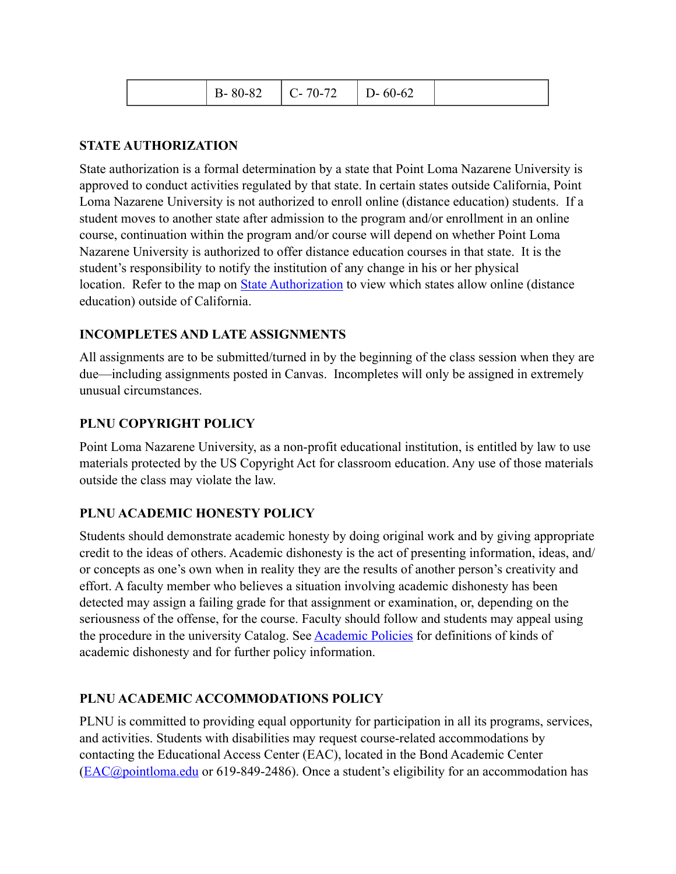| $C - 70 - 72$<br>$B - 80 - 82$ | $D - 60 - 62$ |
|--------------------------------|---------------|
|--------------------------------|---------------|

### **STATE AUTHORIZATION**

State authorization is a formal determination by a state that Point Loma Nazarene University is approved to conduct activities regulated by that state. In certain states outside California, Point Loma Nazarene University is not authorized to enroll online (distance education) students. If a student moves to another state after admission to the program and/or enrollment in an online course, continuation within the program and/or course will depend on whether Point Loma Nazarene University is authorized to offer distance education courses in that state. It is the student's responsibility to notify the institution of any change in his or her physical location. Refer to the map on **State Authorization** to view which states allow online (distance education) outside of California.

### **INCOMPLETES AND LATE ASSIGNMENTS**

All assignments are to be submitted/turned in by the beginning of the class session when they are due—including assignments posted in Canvas. Incompletes will only be assigned in extremely unusual circumstances.

### **PLNU COPYRIGHT POLICY**

Point Loma Nazarene University, as a non-profit educational institution, is entitled by law to use materials protected by the US Copyright Act for classroom education. Any use of those materials outside the class may violate the law.

## **PLNU ACADEMIC HONESTY POLICY**

Students should demonstrate academic honesty by doing original work and by giving appropriate credit to the ideas of others. Academic dishonesty is the act of presenting information, ideas, and/ or concepts as one's own when in reality they are the results of another person's creativity and effort. A faculty member who believes a situation involving academic dishonesty has been detected may assign a failing grade for that assignment or examination, or, depending on the seriousness of the offense, for the course. Faculty should follow and students may appeal using the procedure in the university Catalog. See [Academic Policies](https://catalog.pointloma.edu/content.php?catoid=52&navoid=2919#Academic_Honesty) for definitions of kinds of academic dishonesty and for further policy information.

## **PLNU ACADEMIC ACCOMMODATIONS POLICY**

PLNU is committed to providing equal opportunity for participation in all its programs, services, and activities. Students with disabilities may request course-related accommodations by contacting the Educational Access Center (EAC), located in the Bond Academic Center ([EAC@pointloma.edu](mailto:EAC@pointloma.edu) or 619-849-2486). Once a student's eligibility for an accommodation has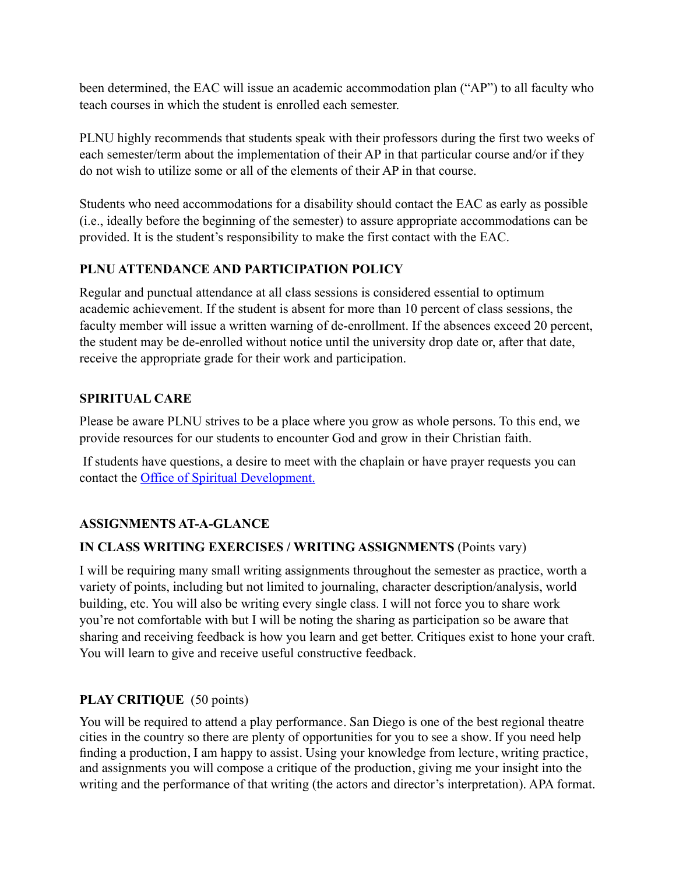been determined, the EAC will issue an academic accommodation plan ("AP") to all faculty who teach courses in which the student is enrolled each semester.

PLNU highly recommends that students speak with their professors during the first two weeks of each semester/term about the implementation of their AP in that particular course and/or if they do not wish to utilize some or all of the elements of their AP in that course.

Students who need accommodations for a disability should contact the EAC as early as possible (i.e., ideally before the beginning of the semester) to assure appropriate accommodations can be provided. It is the student's responsibility to make the first contact with the EAC.

## **PLNU ATTENDANCE AND PARTICIPATION POLICY**

Regular and punctual attendance at all class sessions is considered essential to optimum academic achievement. If the student is absent for more than 10 percent of class sessions, the faculty member will issue a written warning of de-enrollment. If the absences exceed 20 percent, the student may be de-enrolled without notice until the university drop date or, after that date, receive the appropriate grade for their work and participation.

## **SPIRITUAL CARE**

Please be aware PLNU strives to be a place where you grow as whole persons. To this end, we provide resources for our students to encounter God and grow in their Christian faith.

 If students have questions, a desire to meet with the chaplain or have prayer requests you can contact the Office of Spiritual Development.

# **ASSIGNMENTS AT-A-GLANCE**

## **IN CLASS WRITING EXERCISES / WRITING ASSIGNMENTS** (Points vary)

I will be requiring many small writing assignments throughout the semester as practice, worth a variety of points, including but not limited to journaling, character description/analysis, world building, etc. You will also be writing every single class. I will not force you to share work you're not comfortable with but I will be noting the sharing as participation so be aware that sharing and receiving feedback is how you learn and get better. Critiques exist to hone your craft. You will learn to give and receive useful constructive feedback.

## **PLAY CRITIQUE** (50 points)

You will be required to attend a play performance. San Diego is one of the best regional theatre cities in the country so there are plenty of opportunities for you to see a show. If you need help finding a production, I am happy to assist. Using your knowledge from lecture, writing practice, and assignments you will compose a critique of the production, giving me your insight into the writing and the performance of that writing (the actors and director's interpretation). APA format.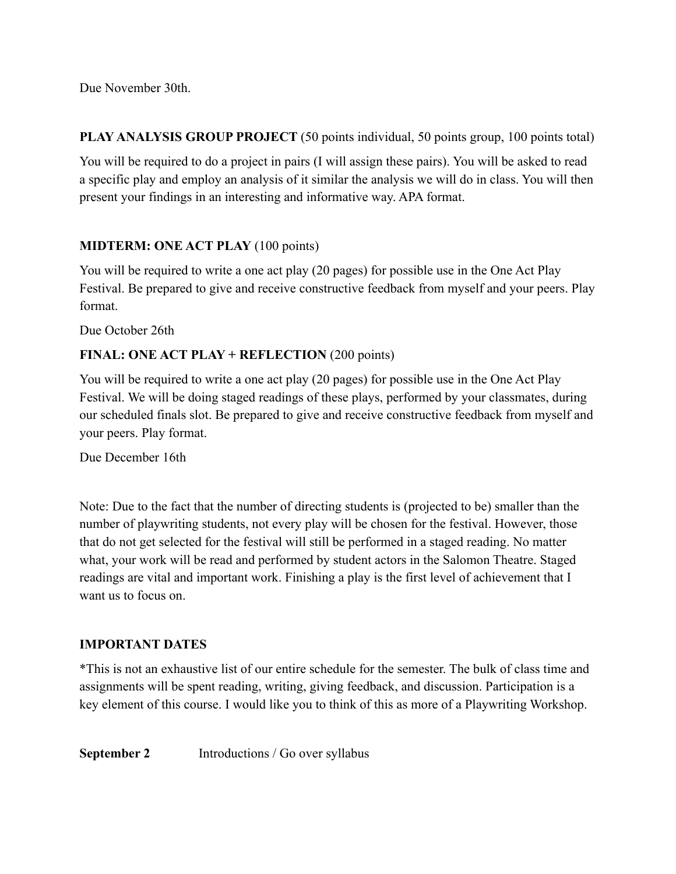Due November 30th.

**PLAY ANALYSIS GROUP PROJECT** (50 points individual, 50 points group, 100 points total)

You will be required to do a project in pairs (I will assign these pairs). You will be asked to read a specific play and employ an analysis of it similar the analysis we will do in class. You will then present your findings in an interesting and informative way. APA format.

## **MIDTERM: ONE ACT PLAY** (100 points)

You will be required to write a one act play (20 pages) for possible use in the One Act Play Festival. Be prepared to give and receive constructive feedback from myself and your peers. Play format.

Due October 26th

## **FINAL: ONE ACT PLAY + REFLECTION** (200 points)

You will be required to write a one act play (20 pages) for possible use in the One Act Play Festival. We will be doing staged readings of these plays, performed by your classmates, during our scheduled finals slot. Be prepared to give and receive constructive feedback from myself and your peers. Play format.

Due December 16th

Note: Due to the fact that the number of directing students is (projected to be) smaller than the number of playwriting students, not every play will be chosen for the festival. However, those that do not get selected for the festival will still be performed in a staged reading. No matter what, your work will be read and performed by student actors in the Salomon Theatre. Staged readings are vital and important work. Finishing a play is the first level of achievement that I want us to focus on.

## **IMPORTANT DATES**

\*This is not an exhaustive list of our entire schedule for the semester. The bulk of class time and assignments will be spent reading, writing, giving feedback, and discussion. Participation is a key element of this course. I would like you to think of this as more of a Playwriting Workshop.

**September 2** Introductions / Go over syllabus